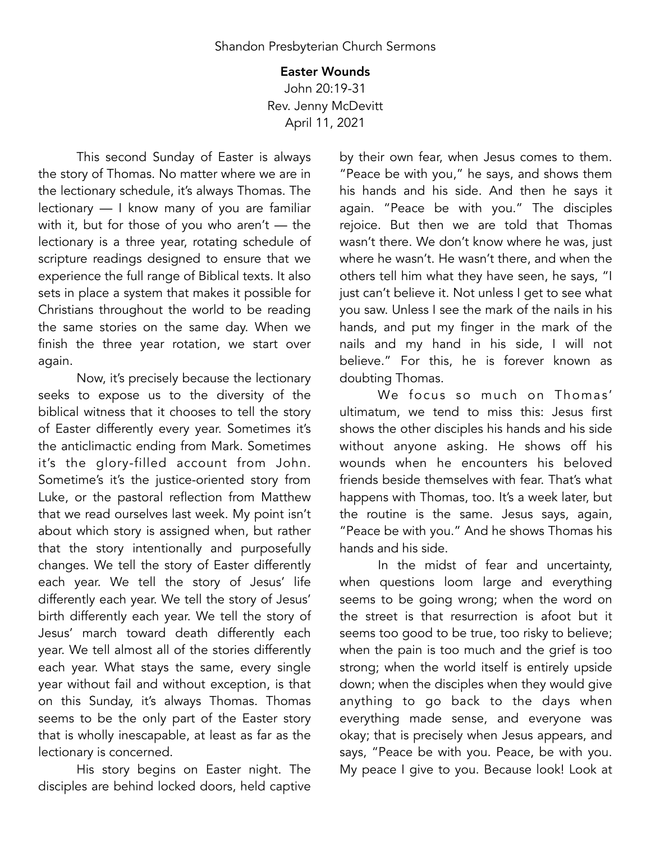## Easter Wounds

John 20:19-31 Rev. Jenny McDevitt April 11, 2021

This second Sunday of Easter is always the story of Thomas. No matter where we are in the lectionary schedule, it's always Thomas. The lectionary — I know many of you are familiar with it, but for those of you who aren't — the lectionary is a three year, rotating schedule of scripture readings designed to ensure that we experience the full range of Biblical texts. It also sets in place a system that makes it possible for Christians throughout the world to be reading the same stories on the same day. When we finish the three year rotation, we start over again.

Now, it's precisely because the lectionary seeks to expose us to the diversity of the biblical witness that it chooses to tell the story of Easter differently every year. Sometimes it's the anticlimactic ending from Mark. Sometimes it's the glory-filled account from John. Sometime's it's the justice-oriented story from Luke, or the pastoral reflection from Matthew that we read ourselves last week. My point isn't about which story is assigned when, but rather that the story intentionally and purposefully changes. We tell the story of Easter differently each year. We tell the story of Jesus' life differently each year. We tell the story of Jesus' birth differently each year. We tell the story of Jesus' march toward death differently each year. We tell almost all of the stories differently each year. What stays the same, every single year without fail and without exception, is that on this Sunday, it's always Thomas. Thomas seems to be the only part of the Easter story that is wholly inescapable, at least as far as the lectionary is concerned.

His story begins on Easter night. The disciples are behind locked doors, held captive

by their own fear, when Jesus comes to them. "Peace be with you," he says, and shows them his hands and his side. And then he says it again. "Peace be with you." The disciples rejoice. But then we are told that Thomas wasn't there. We don't know where he was, just where he wasn't. He wasn't there, and when the others tell him what they have seen, he says, "I just can't believe it. Not unless I get to see what you saw. Unless I see the mark of the nails in his hands, and put my finger in the mark of the nails and my hand in his side, I will not believe." For this, he is forever known as doubting Thomas.

We focus so much on Thomas' ultimatum, we tend to miss this: Jesus first shows the other disciples his hands and his side without anyone asking. He shows off his wounds when he encounters his beloved friends beside themselves with fear. That's what happens with Thomas, too. It's a week later, but the routine is the same. Jesus says, again, "Peace be with you." And he shows Thomas his hands and his side.

In the midst of fear and uncertainty, when questions loom large and everything seems to be going wrong; when the word on the street is that resurrection is afoot but it seems too good to be true, too risky to believe; when the pain is too much and the grief is too strong; when the world itself is entirely upside down; when the disciples when they would give anything to go back to the days when everything made sense, and everyone was okay; that is precisely when Jesus appears, and says, "Peace be with you. Peace, be with you. My peace I give to you. Because look! Look at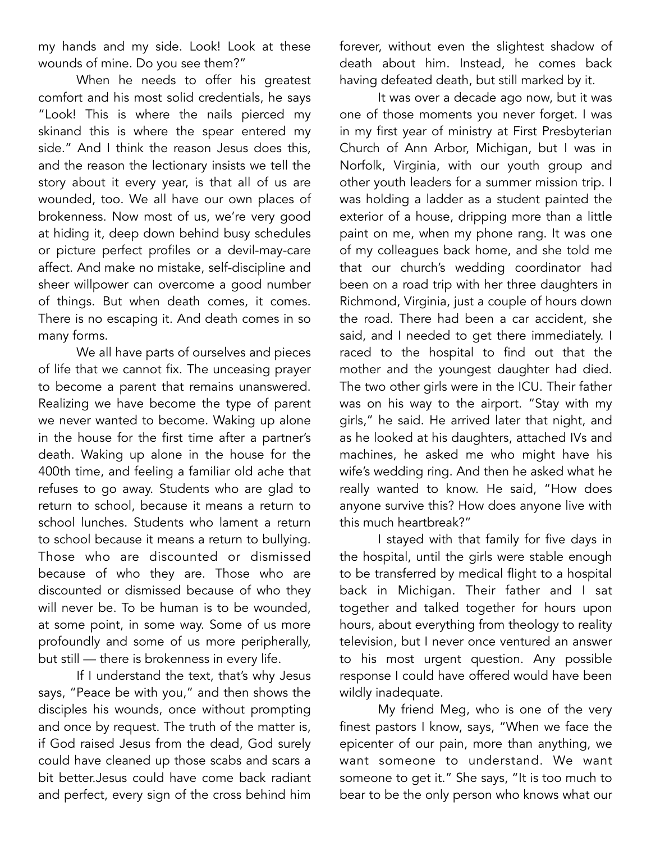my hands and my side. Look! Look at these wounds of mine. Do you see them?"

When he needs to offer his greatest comfort and his most solid credentials, he says "Look! This is where the nails pierced my skinand this is where the spear entered my side." And I think the reason Jesus does this, and the reason the lectionary insists we tell the story about it every year, is that all of us are wounded, too. We all have our own places of brokenness. Now most of us, we're very good at hiding it, deep down behind busy schedules or picture perfect profiles or a devil-may-care affect. And make no mistake, self-discipline and sheer willpower can overcome a good number of things. But when death comes, it comes. There is no escaping it. And death comes in so many forms.

We all have parts of ourselves and pieces of life that we cannot fix. The unceasing prayer to become a parent that remains unanswered. Realizing we have become the type of parent we never wanted to become. Waking up alone in the house for the first time after a partner's death. Waking up alone in the house for the 400th time, and feeling a familiar old ache that refuses to go away. Students who are glad to return to school, because it means a return to school lunches. Students who lament a return to school because it means a return to bullying. Those who are discounted or dismissed because of who they are. Those who are discounted or dismissed because of who they will never be. To be human is to be wounded, at some point, in some way. Some of us more profoundly and some of us more peripherally, but still — there is brokenness in every life.

If I understand the text, that's why Jesus says, "Peace be with you," and then shows the disciples his wounds, once without prompting and once by request. The truth of the matter is, if God raised Jesus from the dead, God surely could have cleaned up those scabs and scars a bit better.Jesus could have come back radiant and perfect, every sign of the cross behind him forever, without even the slightest shadow of death about him. Instead, he comes back having defeated death, but still marked by it.

It was over a decade ago now, but it was one of those moments you never forget. I was in my first year of ministry at First Presbyterian Church of Ann Arbor, Michigan, but I was in Norfolk, Virginia, with our youth group and other youth leaders for a summer mission trip. I was holding a ladder as a student painted the exterior of a house, dripping more than a little paint on me, when my phone rang. It was one of my colleagues back home, and she told me that our church's wedding coordinator had been on a road trip with her three daughters in Richmond, Virginia, just a couple of hours down the road. There had been a car accident, she said, and I needed to get there immediately. I raced to the hospital to find out that the mother and the youngest daughter had died. The two other girls were in the ICU. Their father was on his way to the airport. "Stay with my girls," he said. He arrived later that night, and as he looked at his daughters, attached IVs and machines, he asked me who might have his wife's wedding ring. And then he asked what he really wanted to know. He said, "How does anyone survive this? How does anyone live with this much heartbreak?"

I stayed with that family for five days in the hospital, until the girls were stable enough to be transferred by medical flight to a hospital back in Michigan. Their father and I sat together and talked together for hours upon hours, about everything from theology to reality television, but I never once ventured an answer to his most urgent question. Any possible response I could have offered would have been wildly inadequate.

My friend Meg, who is one of the very finest pastors I know, says, "When we face the epicenter of our pain, more than anything, we want someone to understand. We want someone to get it." She says, "It is too much to bear to be the only person who knows what our